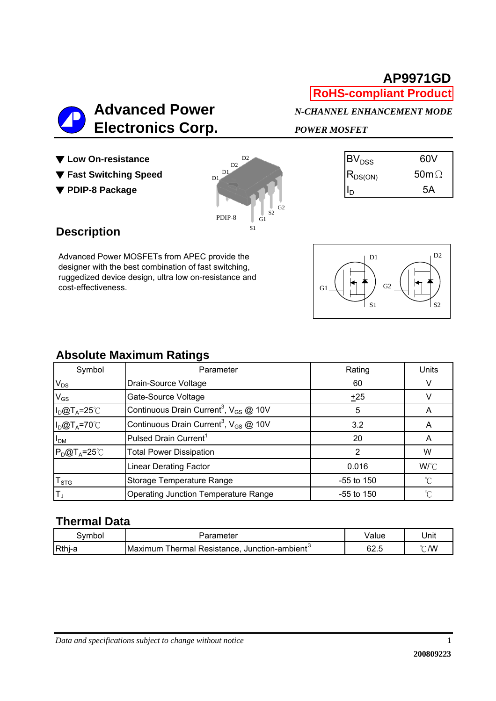# **AP9971GD RoHS-compliant Product**



- 
- 





## **Description**

Advanced Power MOSFETs from APEC provide the designer with the best combination of fast switching, ruggedized device design, ultra low on-resistance and cost-effectiveness.

| D <sub>2</sub><br>D1<br>G2<br>G1<br>S1<br>S <sub>2</sub> |  |
|----------------------------------------------------------|--|
|----------------------------------------------------------|--|

### **Absolute Maximum Ratings**

| Symbol                      | Parameter                                                     | Rating       | Units       |
|-----------------------------|---------------------------------------------------------------|--------------|-------------|
| $V_{DS}$                    | Drain-Source Voltage                                          | 60           |             |
| $V_{GS}$                    | Gate-Source Voltage                                           | ±25          |             |
| $I_D@T_A=25^\circ C$        | Continuous Drain Current <sup>3</sup> , V <sub>GS</sub> @ 10V | 5            |             |
| $I_D@T_A=70°C$              | Continuous Drain Current <sup>3</sup> , $V_{GS}$ @ 10V        | 3.2          | A           |
| I <sub>DM</sub>             | Pulsed Drain Current <sup>1</sup>                             | 20           | A           |
| $P_D@T_A=25^{\circ}$        | <b>Total Power Dissipation</b>                                |              | W           |
|                             | <b>Linear Derating Factor</b>                                 | 0.016        | W/°C        |
| $\mathsf{T}_{\textsf{STG}}$ | Storage Temperature Range                                     | $-55$ to 150 | $^{\circ}C$ |
| ΙT,                         | <b>Operating Junction Temperature Range</b>                   | $-55$ to 150 | $\hat{C}$   |

## **Thermal Data**

| ⊰vmbol | Parameter                                                         | Value | Unit |
|--------|-------------------------------------------------------------------|-------|------|
| Rthj-a | Maximum<br>Thermal Resistance,<br>, Junction-ambient <sup>o</sup> | 62.5  | °C/W |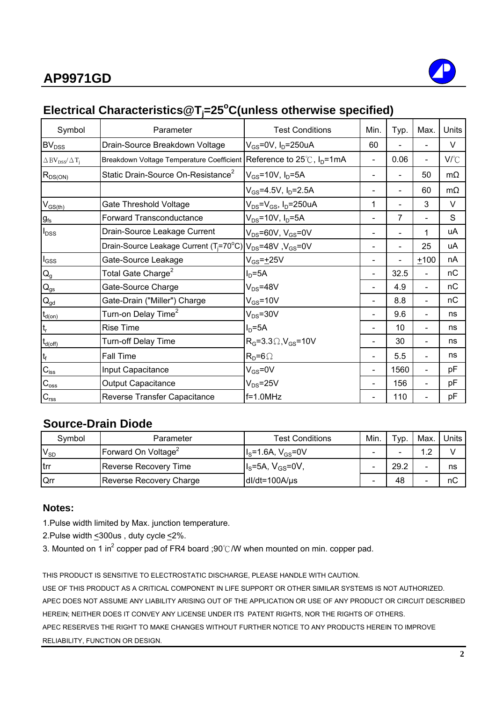

# **Electrical Characteristics@Tj =25o C(unless otherwise specified)**

| Symbol                                               | Parameter                                                                                     | <b>Test Conditions</b>                      | Min.                     | Typ. | Max.           | Units        |
|------------------------------------------------------|-----------------------------------------------------------------------------------------------|---------------------------------------------|--------------------------|------|----------------|--------------|
| $BV_{DSS}$                                           | Drain-Source Breakdown Voltage                                                                | $V_{GS}$ =0V, I <sub>D</sub> =250uA         | 60                       |      |                | V            |
| $\Delta$ BV <sub>DSS</sub> / $\Delta$ T <sub>i</sub> | Breakdown Voltage Temperature Coefficient Reference to 25℃, I <sub>D</sub> =1mA               |                                             | $\blacksquare$           | 0.06 | $\blacksquare$ | $V^{\circ}C$ |
| $R_{DS(ON)}$                                         | Static Drain-Source On-Resistance <sup>2</sup>                                                | $V_{GS}$ =10V, $I_D$ =5A                    | $\overline{\phantom{a}}$ |      | 50             | $m\Omega$    |
|                                                      |                                                                                               | $V_{GS} = 4.5V$ , $I_D = 2.5A$              |                          |      | 60             | $m\Omega$    |
| $V_{GS(th)}$                                         | Gate Threshold Voltage                                                                        | $V_{DS}$ = $V_{GS}$ , I <sub>D</sub> =250uA | 1                        |      | 3              | V            |
| $g_{\rm fs}$                                         | <b>Forward Transconductance</b>                                                               | $V_{DS} = 10V$ , $I_D = 5A$                 |                          | 7    |                | S            |
| $I_{DSS}$                                            | Drain-Source Leakage Current                                                                  | $V_{DS}$ =60V, $V_{GS}$ =0V                 |                          |      | 1              | uA           |
|                                                      | Drain-Source Leakage Current (T <sub>i</sub> =70°C) V <sub>DS</sub> =48V, V <sub>GS</sub> =0V |                                             |                          |      | 25             | uA           |
| $I_{GSS}$                                            | Gate-Source Leakage                                                                           | $V_{GS} = +25V$                             |                          |      | $+100$         | nA           |
| $\mathsf{Q}_{\mathsf{g}}$                            | Total Gate Charge <sup>2</sup>                                                                | $ID=5A$                                     | $\overline{\phantom{a}}$ | 32.5 |                | nC           |
| $\mathsf{Q}_{\mathsf{gs}}$                           | Gate-Source Charge                                                                            | $V_{DS} = 48V$                              |                          | 4.9  |                | nC           |
| $Q_{gd}$                                             | Gate-Drain ("Miller") Charge                                                                  | $V_{GS}$ =10V                               | $\blacksquare$           | 8.8  |                | пC           |
| $t_{d(on)}$                                          | Turn-on Delay Time <sup>2</sup>                                                               | $V_{DS} = 30V$                              |                          | 9.6  |                | ns           |
| $t_r$                                                | <b>Rise Time</b>                                                                              | $ID=5A$                                     |                          | 10   |                | ns           |
| $t_{d(\text{off})}$                                  | <b>Turn-off Delay Time</b>                                                                    | $RG=3.3\Omega,VGS=10V$                      | $\blacksquare$           | 30   |                | ns           |
| $t_f$                                                | Fall Time                                                                                     | $R_D = 6 \Omega$                            | $\blacksquare$           | 5.5  |                | ns           |
| $C_{\text{iss}}$                                     | Input Capacitance                                                                             | $V_{GS} = 0V$                               | $\overline{\phantom{a}}$ | 1560 |                | рF           |
| $C_{\rm oss}$                                        | Output Capacitance                                                                            | $V_{DS} = 25V$                              |                          | 156  |                | рF           |
| $C_{\rm rss}$                                        | Reverse Transfer Capacitance                                                                  | $f=1.0$ MHz                                 |                          | 110  |                | рF           |

### **Source-Drain Diode**

| Symbol       | Parameter                       | <b>Test Conditions</b>                 | Min.                     | Typ. | Max. | Units |
|--------------|---------------------------------|----------------------------------------|--------------------------|------|------|-------|
| $V_{SD}$     | Forward On Voltage <sup>2</sup> | $I_{\rm s}$ =1.6A, V <sub>GS</sub> =0V |                          |      | 1 າ  |       |
| <b>I</b> trr | Reverse Recovery Time           | $IS=5A, VGS=0V,$                       | $\overline{\phantom{0}}$ | 29.2 | -    | ns    |
| Qrr          | Reverse Recovery Charge         | $dl/dt = 100A/\mu s$                   | -                        | 48   | -    | пC    |

#### **Notes:**

1.Pulse width limited by Max. junction temperature.

2.Pulse width <300us , duty cycle <2%.

3. Mounted on 1 in<sup>2</sup> copper pad of FR4 board ;90℃/W when mounted on min. copper pad.

THIS PRODUCT IS SENSITIVE TO ELECTROSTATIC DISCHARGE, PLEASE HANDLE WITH CAUTION. USE OF THIS PRODUCT AS A CRITICAL COMPONENT IN LIFE SUPPORT OR OTHER SIMILAR SYSTEMS IS NOT AUTHORIZED. APEC DOES NOT ASSUME ANY LIABILITY ARISING OUT OF THE APPLICATION OR USE OF ANY PRODUCT OR CIRCUIT DESCRIBED HEREIN; NEITHER DOES IT CONVEY ANY LICENSE UNDER ITS PATENT RIGHTS, NOR THE RIGHTS OF OTHERS. APEC RESERVES THE RIGHT TO MAKE CHANGES WITHOUT FURTHER NOTICE TO ANY PRODUCTS HEREIN TO IMPROVE RELIABILITY, FUNCTION OR DESIGN.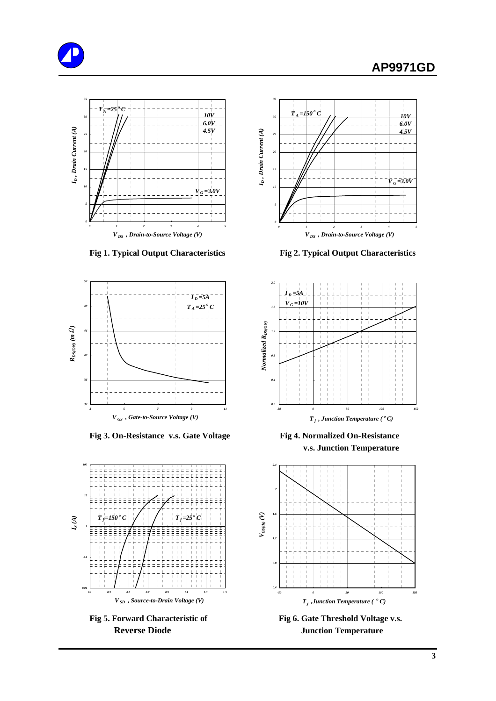# **AP9971GD**







Fig 3. On-Resistance v.s. Gate Voltage Fig 4. Normalized On-Resistance





 **Fig 1. Typical Output Characteristics Fig 2. Typical Output Characteristics**



 **v.s. Junction Temperature**



**Reverse Diode Junction Temperature**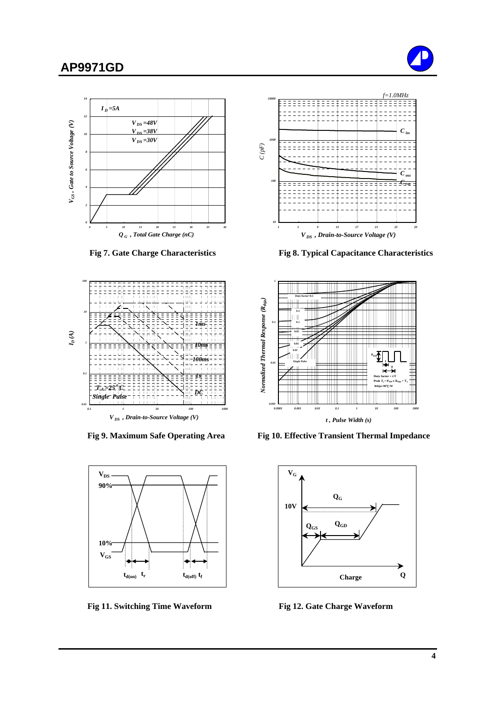# **AP9971GD**









**Fig 11. Switching Time Waveform Fig 12. Gate Charge Waveform** 



 **Fig 7. Gate Charge Characteristics Fig 8. Typical Capacitance Characteristics**



Fig 9. Maximum Safe Operating Area Fig 10. Effective Transient Thermal Impedance